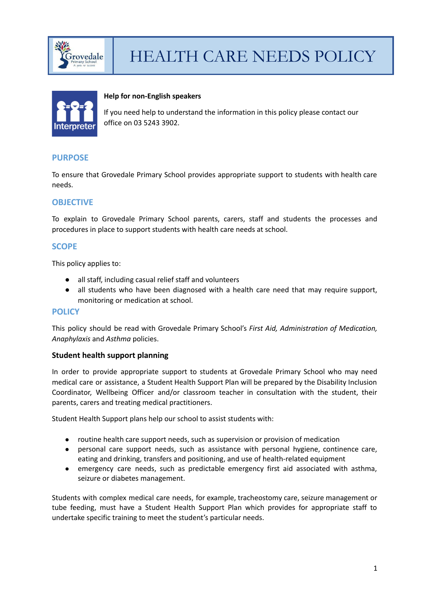



### **Help for non-English speakers**

If you need help to understand the information in this policy please contact our office on 03 5243 3902.

## **PURPOSE**

To ensure that Grovedale Primary School provides appropriate support to students with health care needs.

### **OBJECTIVE**

To explain to Grovedale Primary School parents, carers, staff and students the processes and procedures in place to support students with health care needs at school.

### **SCOPE**

This policy applies to:

- all staff, including casual relief staff and volunteers
- all students who have been diagnosed with a health care need that may require support, monitoring or medication at school.

### **POLICY**

This policy should be read with Grovedale Primary School's *First Aid, Administration of Medication, Anaphylaxis* and *Asthma* policies.

### **Student health support planning**

In order to provide appropriate support to students at Grovedale Primary School who may need medical care or assistance, a Student Health Support Plan will be prepared by the Disability Inclusion Coordinator, Wellbeing Officer and/or classroom teacher in consultation with the student, their parents, carers and treating medical practitioners.

Student Health Support plans help our school to assist students with:

- routine health care support needs, such as supervision or provision of medication
- personal care support needs, such as assistance with personal hygiene, continence care, eating and drinking, transfers and positioning, and use of health-related equipment
- emergency care needs, such as predictable emergency first aid associated with asthma, seizure or diabetes management.

Students with complex medical care needs, for example, tracheostomy care, seizure management or tube feeding, must have a Student Health Support Plan which provides for appropriate staff to undertake specific training to meet the student's particular needs.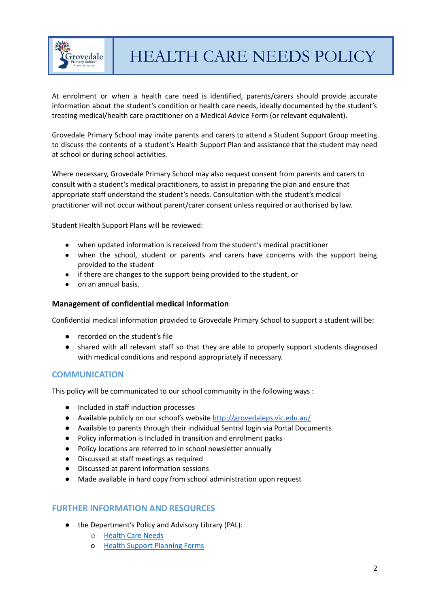

# HEALTH CARE NEEDS POLICY

At enrolment or when a health care need is identified, parents/carers should provide accurate information about the student's condition or health care needs, ideally documented by the student's treating medical/health care practitioner on a Medical Advice Form (or relevant equivalent).

Grovedale Primary School may invite parents and carers to attend a Student Support Group meeting to discuss the contents of a student's Health Support Plan and assistance that the student may need at school or during school activities.

Where necessary, Grovedale Primary School may also request consent from parents and carers to consult with a student's medical practitioners, to assist in preparing the plan and ensure that appropriate staff understand the student's needs. Consultation with the student's medical practitioner will not occur without parent/carer consent unless required or authorised by law.

Student Health Support Plans will be reviewed:

- when updated information is received from the student's medical practitioner
- when the school, student or parents and carers have concerns with the support being provided to the student
- if there are changes to the support being provided to the student, or
- on an annual basis.

### **Management of confidential medical information**

Confidential medical information provided to Grovedale Primary School to support a student will be:

- recorded on the student's file
- shared with all relevant staff so that they are able to properly support students diagnosed with medical conditions and respond appropriately if necessary.

## **COMMUNICATION**

This policy will be communicated to our school community in the following ways :

- Included in staff induction processes
- Available publicly on our school's website <http://grovedaleps.vic.edu.au/>
- Available to parents through their individual Sentral login via Portal Documents
- Policy information is Included in transition and enrolment packs
- Policy locations are referred to in school newsletter annually
- Discussed at staff meetings as required
- Discussed at parent information sessions
- Made available in hard copy from school administration upon request

## **FURTHER INFORMATION AND RESOURCES**

- the Department's Policy and Advisory Library (PAL):
	- o [Health](https://www2.education.vic.gov.au/pal/health-care-needs/policy) Care Needs
	- o Health Support [Planning](https://www2.education.vic.gov.au/pal/health-care-needs/resources) Forms